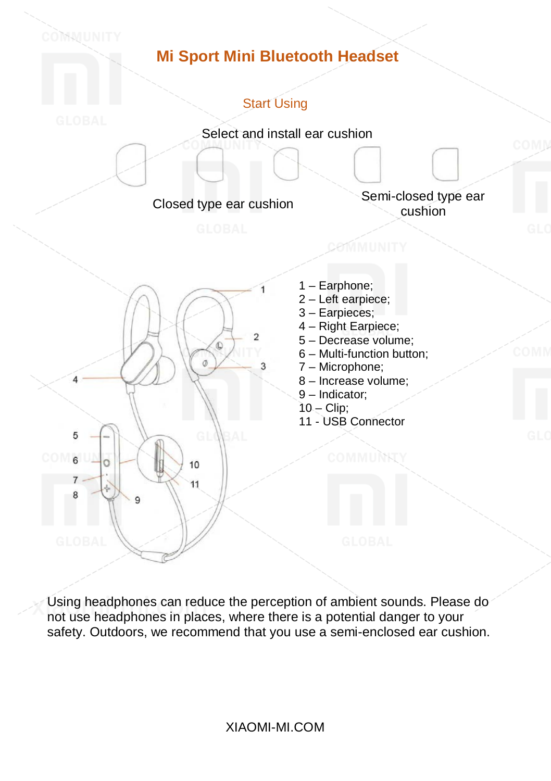

Using headphones can reduce the perception of ambient sounds. Please do not use headphones in places, where there is a potential danger to your safety. Outdoors, we recommend that you use a semi-enclosed ear cushion.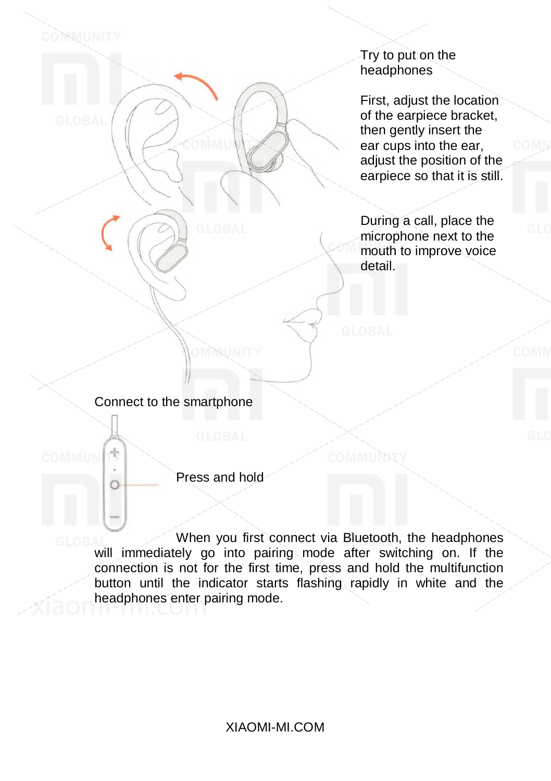Try to put on the headphones

First, adjust the location of the earpiece bracket, then gently insert the ear cups into the ear, adjust the position of the earpiece so that it is still.

During a call, place the microphone next to the mouth to improve voice detail.

Connect to the smartphone

4

 $\circ$ 

COMMUNITY

Press and hold

OMMUNITY

When you first connect via Bluetooth, the headphones will immediately go into pairing mode after switching on. If the connection is not for the first time, press and hold the multifunction button until the indicator starts flashing rapidly in white and the headphones enter pairing mode.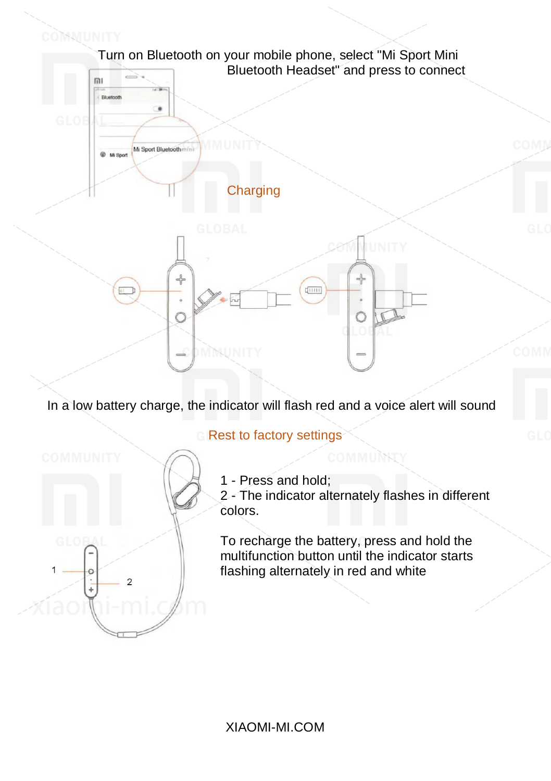

In a low battery charge, the indicator will flash red and a voice alert will sound



**Rest to factory settings** 

1 - Press and hold;

2 - The indicator alternately flashes in different colors.

To recharge the battery, press and hold the multifunction button until the indicator starts flashing alternately in red and white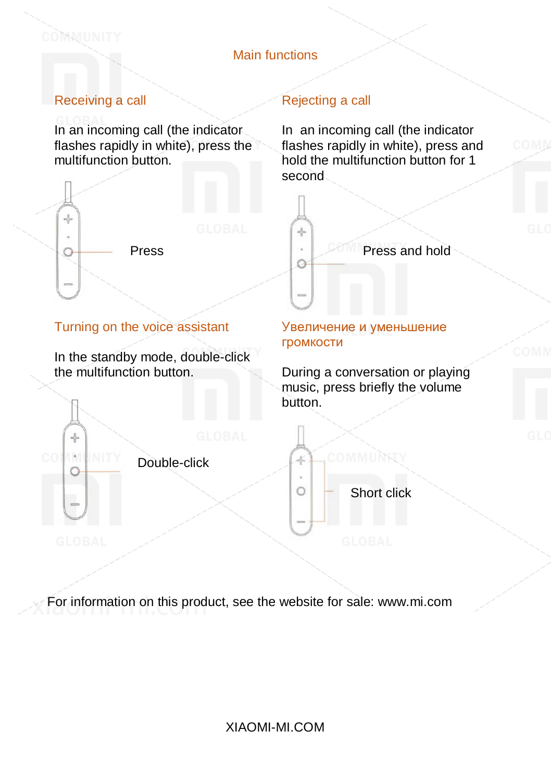## Main functions

# Receiving a call

COMMUNITY

 $\rightarrow$ 

 $\Omega$ 

**COMM** 

In an incoming call (the indicator flashes rapidly in white), press the multifunction button.



#### Turning on the voice assistant

In the standby mode, double-click the multifunction button.

### Rejecting a call

In an incoming call (the indicator flashes rapidly in white), press and hold the multifunction button for 1 second



#### Увеличение и уменьшение громкости

During a conversation or playing music, press briefly the volume button.

Double-click

Short click

COMMUNITY

 $\frac{1}{\sqrt{2}}$ 

Ö

For information on this product, see the website for sale: www.mi.com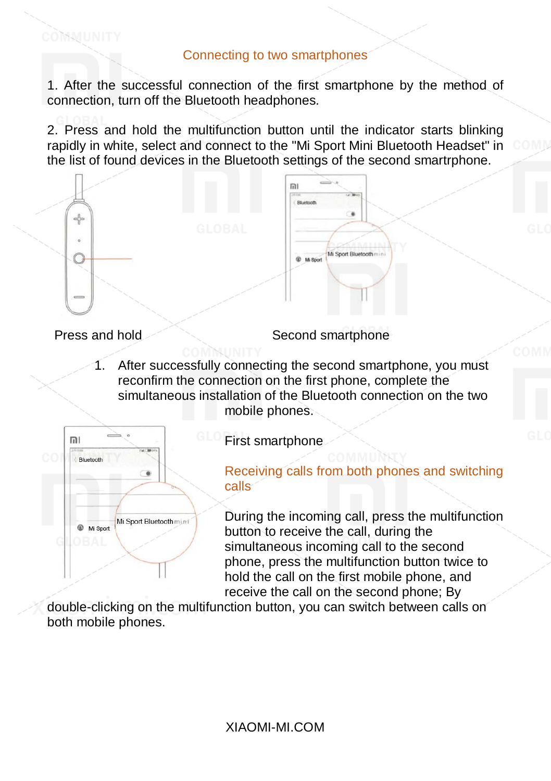1. After the successful connection of the first smartphone by the method of connection, turn off the Bluetooth headphones.

2. Press and hold the multifunction button until the indicator starts blinking rapidly in white, select and connect to the "Mi Sport Mini Bluetooth Headset" in the list of found devices in the Bluetooth settings of the second smartrphone.



COMMUNITY

Press and hold Second smartphone

1. After successfully connecting the second smartphone, you must reconfirm the connection on the first phone, complete the simultaneous installation of the Bluetooth connection on the two mobile phones.



First smartphone

Receiving calls from both phones and switching calls

During the incoming call, press the multifunction button to receive the call, during the simultaneous incoming call to the second phone, press the multifunction button twice to hold the call on the first mobile phone, and receive the call on the second phone; By

double-clicking on the multifunction button, you can switch between calls on both mobile phones.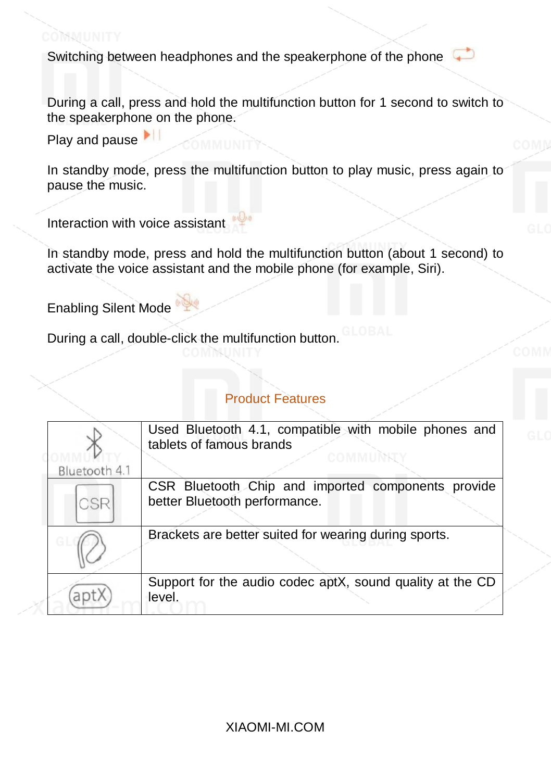Switching between headphones and the speakerphone of the phone

During a call, press and hold the multifunction button for 1 second to switch to the speakerphone on the phone.

Play and pause

COMMUNITY

In standby mode, press the multifunction button to play music, press again to pause the music.

Interaction with voice assistant

In standby mode, press and hold the multifunction button (about 1 second) to activate the voice assistant and the mobile phone (for example, Siri).

Enabling Silent Mode

During a call, double-click the multifunction button.

# Product Features

|               | Used Bluetooth 4.1, compatible with mobile phones and<br>tablets of famous brands   |
|---------------|-------------------------------------------------------------------------------------|
| Bluetooth 4.1 | COMMIN                                                                              |
| CSR           | CSR Bluetooth Chip and imported components provide<br>better Bluetooth performance. |
|               | Brackets are better suited for wearing during sports.                               |
| apt           | Support for the audio codec aptX, sound quality at the CD<br>level.                 |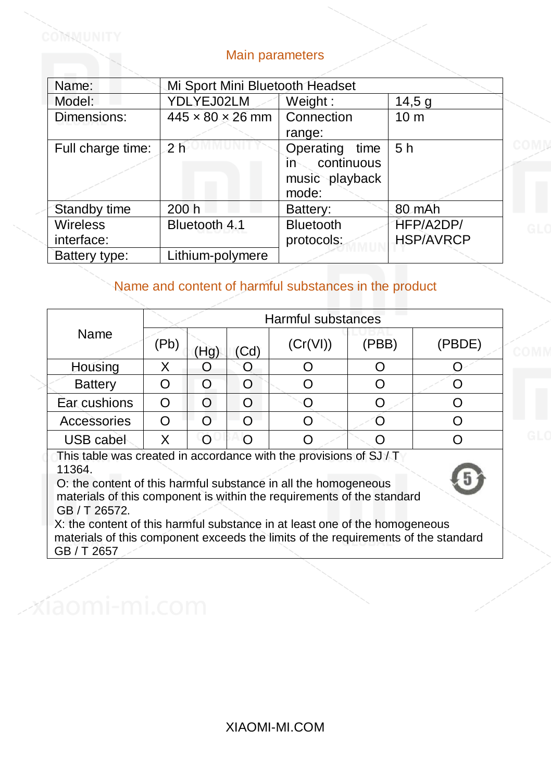# Main parameters

COMMUNIT'

| Name:             | Mi Sport Mini Bluetooth Headset |                   |                  |  |  |  |
|-------------------|---------------------------------|-------------------|------------------|--|--|--|
| Model:            | YDLYEJ02LM                      | Weight:           | 14,5g            |  |  |  |
| Dimensions:       | $445 \times 80 \times 26$ mm    | Connection        | 10 <sub>m</sub>  |  |  |  |
|                   |                                 | range:            |                  |  |  |  |
| Full charge time: | 2 <sub>h</sub>                  | Operating time    | 5 <sub>h</sub>   |  |  |  |
|                   |                                 | continuous<br>in- |                  |  |  |  |
|                   |                                 | music playback    |                  |  |  |  |
|                   |                                 | mode:             |                  |  |  |  |
| Standby time      | 200 h                           | Battery:          | 80 mAh           |  |  |  |
| Wireless          | Bluetooth 4.1                   | Bluetooth         | HFP/A2DP/        |  |  |  |
| interface:        |                                 | protocols:        | <b>HSP/AVRCP</b> |  |  |  |
| Battery type:     | Lithium-polymere                |                   |                  |  |  |  |

# Name and content of harmful substances in the product

|                | Harmful substances |    |               |          |       |        |  |
|----------------|--------------------|----|---------------|----------|-------|--------|--|
| Name           | (Pb)               | Hg | $\mathsf{Cd}$ | (Cr(VI)) | (PBB) | (PBDE) |  |
| Housing        |                    |    |               |          |       |        |  |
| <b>Battery</b> |                    |    |               |          |       |        |  |
| Ear cushions   |                    | ∩  |               |          |       |        |  |
| Accessories    |                    | ∩  | ∩             |          |       |        |  |
| USB cabel      |                    |    |               |          |       |        |  |

This table was created in accordance with the provisions of SJ / T 11364.

O: the content of this harmful substance in all the homogeneous materials of this component is within the requirements of the standard GB / T 26572.

X: the content of this harmful substance in at least one of the homogeneous materials of this component exceeds the limits of the requirements of the standard GB / T 2657